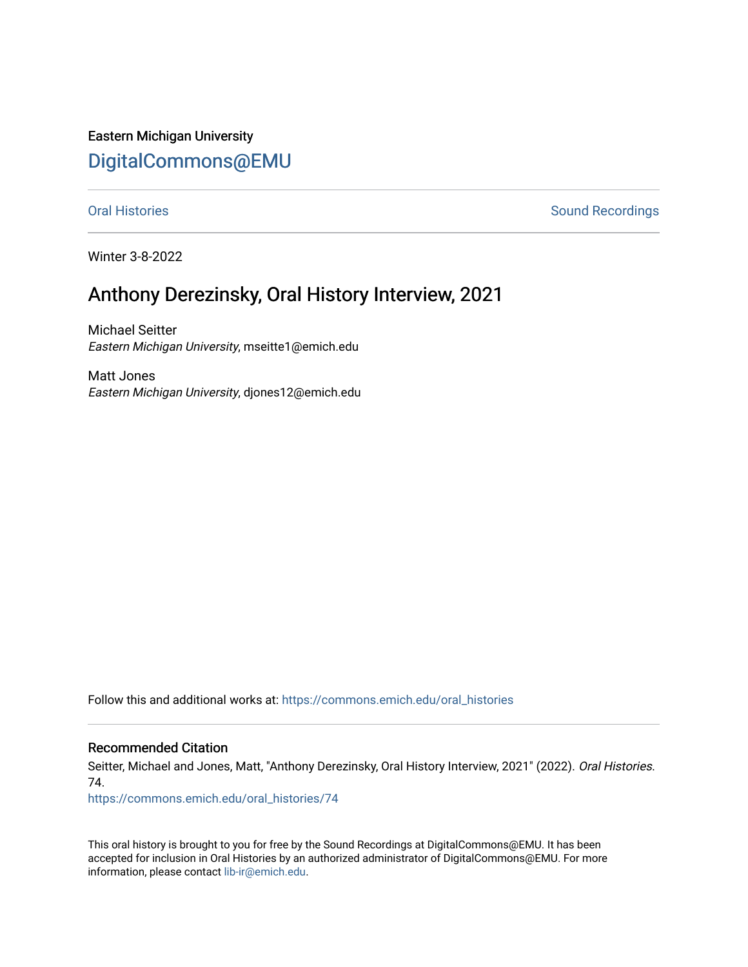Eastern Michigan University [DigitalCommons@EMU](https://commons.emich.edu/) 

[Oral Histories](https://commons.emich.edu/oral_histories) **Sound Recordings** Sound Recordings

Winter 3-8-2022

## Anthony Derezinsky, Oral History Interview, 2021

Michael Seitter Eastern Michigan University, mseitte1@emich.edu

Matt Jones Eastern Michigan University, djones12@emich.edu

Follow this and additional works at: [https://commons.emich.edu/oral\\_histories](https://commons.emich.edu/oral_histories?utm_source=commons.emich.edu%2Foral_histories%2F74&utm_medium=PDF&utm_campaign=PDFCoverPages) 

## Recommended Citation

Seitter, Michael and Jones, Matt, "Anthony Derezinsky, Oral History Interview, 2021" (2022). Oral Histories. 74.

[https://commons.emich.edu/oral\\_histories/74](https://commons.emich.edu/oral_histories/74?utm_source=commons.emich.edu%2Foral_histories%2F74&utm_medium=PDF&utm_campaign=PDFCoverPages)

This oral history is brought to you for free by the Sound Recordings at DigitalCommons@EMU. It has been accepted for inclusion in Oral Histories by an authorized administrator of DigitalCommons@EMU. For more information, please contact [lib-ir@emich.edu](mailto:lib-ir@emich.edu).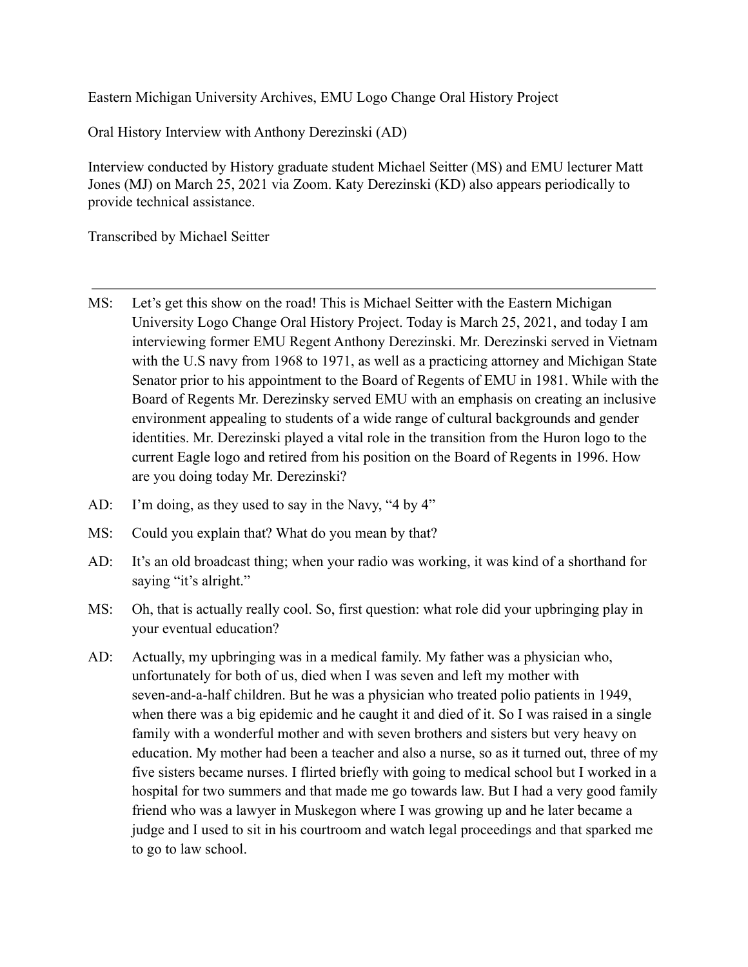Eastern Michigan University Archives, EMU Logo Change Oral History Project

Oral History Interview with Anthony Derezinski (AD)

Interview conducted by History graduate student Michael Seitter (MS) and EMU lecturer Matt Jones (MJ) on March 25, 2021 via Zoom. Katy Derezinski (KD) also appears periodically to provide technical assistance.

Transcribed by Michael Seitter

- MS: Let's get this show on the road! This is Michael Seitter with the Eastern Michigan University Logo Change Oral History Project. Today is March 25, 2021, and today I am interviewing former EMU Regent Anthony Derezinski. Mr. Derezinski served in Vietnam with the U.S navy from 1968 to 1971, as well as a practicing attorney and Michigan State Senator prior to his appointment to the Board of Regents of EMU in 1981. While with the Board of Regents Mr. Derezinsky served EMU with an emphasis on creating an inclusive environment appealing to students of a wide range of cultural backgrounds and gender identities. Mr. Derezinski played a vital role in the transition from the Huron logo to the current Eagle logo and retired from his position on the Board of Regents in 1996. How are you doing today Mr. Derezinski?
- AD: I'm doing, as they used to say in the Navy, "4 by 4"
- MS: Could you explain that? What do you mean by that?
- AD: It's an old broadcast thing; when your radio was working, it was kind of a shorthand for saying "it's alright."
- MS: Oh, that is actually really cool. So, first question: what role did your upbringing play in your eventual education?
- AD: Actually, my upbringing was in a medical family. My father was a physician who, unfortunately for both of us, died when I was seven and left my mother with seven-and-a-half children. But he was a physician who treated polio patients in 1949, when there was a big epidemic and he caught it and died of it. So I was raised in a single family with a wonderful mother and with seven brothers and sisters but very heavy on education. My mother had been a teacher and also a nurse, so as it turned out, three of my five sisters became nurses. I flirted briefly with going to medical school but I worked in a hospital for two summers and that made me go towards law. But I had a very good family friend who was a lawyer in Muskegon where I was growing up and he later became a judge and I used to sit in his courtroom and watch legal proceedings and that sparked me to go to law school.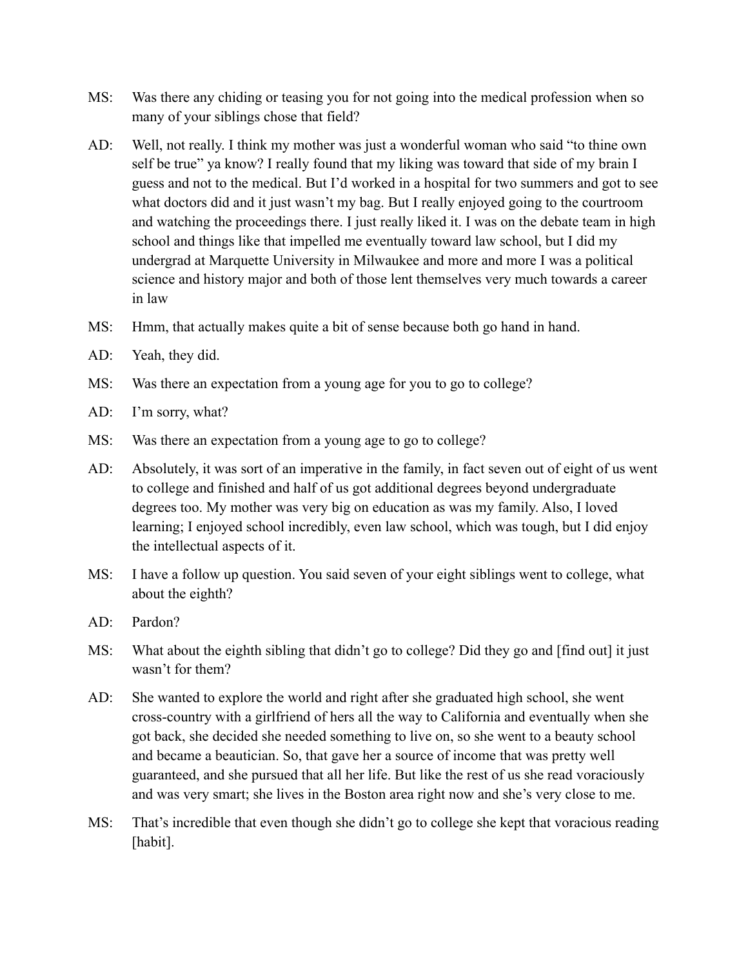- MS: Was there any chiding or teasing you for not going into the medical profession when so many of your siblings chose that field?
- AD: Well, not really. I think my mother was just a wonderful woman who said "to thine own self be true" ya know? I really found that my liking was toward that side of my brain I guess and not to the medical. But I'd worked in a hospital for two summers and got to see what doctors did and it just wasn't my bag. But I really enjoyed going to the courtroom and watching the proceedings there. I just really liked it. I was on the debate team in high school and things like that impelled me eventually toward law school, but I did my undergrad at Marquette University in Milwaukee and more and more I was a political science and history major and both of those lent themselves very much towards a career in law
- MS: Hmm, that actually makes quite a bit of sense because both go hand in hand.
- AD: Yeah, they did.
- MS: Was there an expectation from a young age for you to go to college?
- AD: I'm sorry, what?
- MS: Was there an expectation from a young age to go to college?
- AD: Absolutely, it was sort of an imperative in the family, in fact seven out of eight of us went to college and finished and half of us got additional degrees beyond undergraduate degrees too. My mother was very big on education as was my family. Also, I loved learning; I enjoyed school incredibly, even law school, which was tough, but I did enjoy the intellectual aspects of it.
- MS: I have a follow up question. You said seven of your eight siblings went to college, what about the eighth?
- AD: Pardon?
- MS: What about the eighth sibling that didn't go to college? Did they go and [find out] it just wasn't for them?
- AD: She wanted to explore the world and right after she graduated high school, she went cross-country with a girlfriend of hers all the way to California and eventually when she got back, she decided she needed something to live on, so she went to a beauty school and became a beautician. So, that gave her a source of income that was pretty well guaranteed, and she pursued that all her life. But like the rest of us she read voraciously and was very smart; she lives in the Boston area right now and she's very close to me.
- MS: That's incredible that even though she didn't go to college she kept that voracious reading [habit].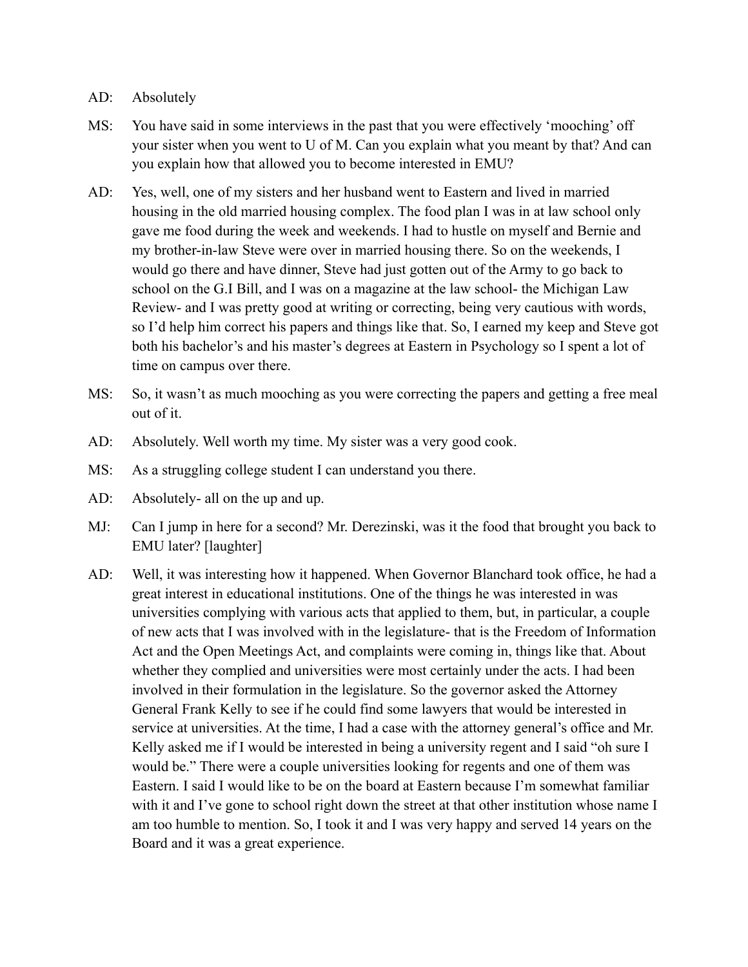## AD: Absolutely

- MS: You have said in some interviews in the past that you were effectively 'mooching' off your sister when you went to U of M. Can you explain what you meant by that? And can you explain how that allowed you to become interested in EMU?
- AD: Yes, well, one of my sisters and her husband went to Eastern and lived in married housing in the old married housing complex. The food plan I was in at law school only gave me food during the week and weekends. I had to hustle on myself and Bernie and my brother-in-law Steve were over in married housing there. So on the weekends, I would go there and have dinner, Steve had just gotten out of the Army to go back to school on the G.I Bill, and I was on a magazine at the law school- the Michigan Law Review- and I was pretty good at writing or correcting, being very cautious with words, so I'd help him correct his papers and things like that. So, I earned my keep and Steve got both his bachelor's and his master's degrees at Eastern in Psychology so I spent a lot of time on campus over there.
- MS: So, it wasn't as much mooching as you were correcting the papers and getting a free meal out of it.
- AD: Absolutely. Well worth my time. My sister was a very good cook.
- MS: As a struggling college student I can understand you there.
- AD: Absolutely- all on the up and up.
- MJ: Can I jump in here for a second? Mr. Derezinski, was it the food that brought you back to EMU later? [laughter]
- AD: Well, it was interesting how it happened. When Governor Blanchard took office, he had a great interest in educational institutions. One of the things he was interested in was universities complying with various acts that applied to them, but, in particular, a couple of new acts that I was involved with in the legislature- that is the Freedom of Information Act and the Open Meetings Act, and complaints were coming in, things like that. About whether they complied and universities were most certainly under the acts. I had been involved in their formulation in the legislature. So the governor asked the Attorney General Frank Kelly to see if he could find some lawyers that would be interested in service at universities. At the time, I had a case with the attorney general's office and Mr. Kelly asked me if I would be interested in being a university regent and I said "oh sure I would be." There were a couple universities looking for regents and one of them was Eastern. I said I would like to be on the board at Eastern because I'm somewhat familiar with it and I've gone to school right down the street at that other institution whose name I am too humble to mention. So, I took it and I was very happy and served 14 years on the Board and it was a great experience.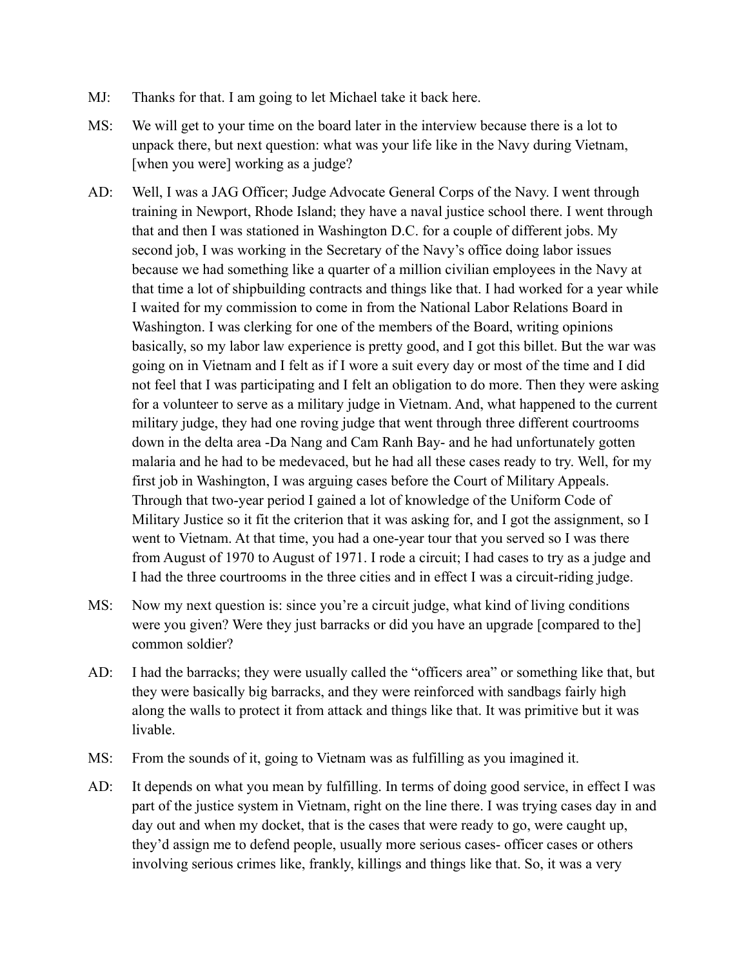- MJ: Thanks for that. I am going to let Michael take it back here.
- MS: We will get to your time on the board later in the interview because there is a lot to unpack there, but next question: what was your life like in the Navy during Vietnam, [when you were] working as a judge?
- AD: Well, I was a JAG Officer; Judge Advocate General Corps of the Navy. I went through training in Newport, Rhode Island; they have a naval justice school there. I went through that and then I was stationed in Washington D.C. for a couple of different jobs. My second job, I was working in the Secretary of the Navy's office doing labor issues because we had something like a quarter of a million civilian employees in the Navy at that time a lot of shipbuilding contracts and things like that. I had worked for a year while I waited for my commission to come in from the National Labor Relations Board in Washington. I was clerking for one of the members of the Board, writing opinions basically, so my labor law experience is pretty good, and I got this billet. But the war was going on in Vietnam and I felt as if I wore a suit every day or most of the time and I did not feel that I was participating and I felt an obligation to do more. Then they were asking for a volunteer to serve as a military judge in Vietnam. And, what happened to the current military judge, they had one roving judge that went through three different courtrooms down in the delta area -Da Nang and Cam Ranh Bay- and he had unfortunately gotten malaria and he had to be medevaced, but he had all these cases ready to try. Well, for my first job in Washington, I was arguing cases before the Court of Military Appeals. Through that two-year period I gained a lot of knowledge of the Uniform Code of Military Justice so it fit the criterion that it was asking for, and I got the assignment, so I went to Vietnam. At that time, you had a one-year tour that you served so I was there from August of 1970 to August of 1971. I rode a circuit; I had cases to try as a judge and I had the three courtrooms in the three cities and in effect I was a circuit-riding judge.
- MS: Now my next question is: since you're a circuit judge, what kind of living conditions were you given? Were they just barracks or did you have an upgrade [compared to the] common soldier?
- AD: I had the barracks; they were usually called the "officers area" or something like that, but they were basically big barracks, and they were reinforced with sandbags fairly high along the walls to protect it from attack and things like that. It was primitive but it was livable.
- MS: From the sounds of it, going to Vietnam was as fulfilling as you imagined it.
- AD: It depends on what you mean by fulfilling. In terms of doing good service, in effect I was part of the justice system in Vietnam, right on the line there. I was trying cases day in and day out and when my docket, that is the cases that were ready to go, were caught up, they'd assign me to defend people, usually more serious cases- officer cases or others involving serious crimes like, frankly, killings and things like that. So, it was a very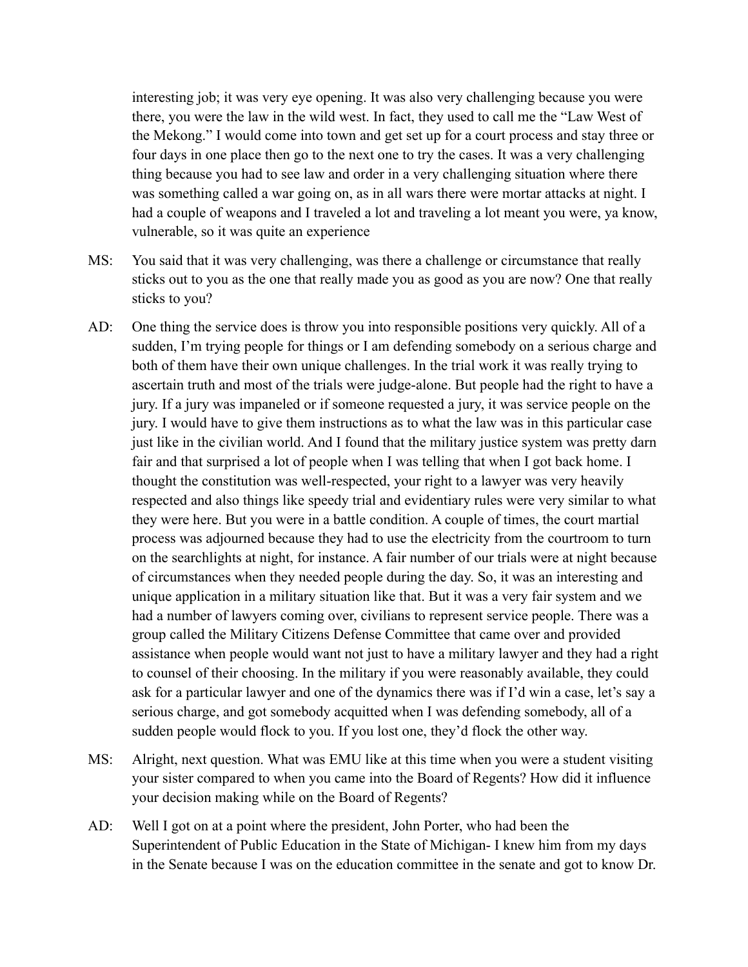interesting job; it was very eye opening. It was also very challenging because you were there, you were the law in the wild west. In fact, they used to call me the "Law West of the Mekong." I would come into town and get set up for a court process and stay three or four days in one place then go to the next one to try the cases. It was a very challenging thing because you had to see law and order in a very challenging situation where there was something called a war going on, as in all wars there were mortar attacks at night. I had a couple of weapons and I traveled a lot and traveling a lot meant you were, ya know, vulnerable, so it was quite an experience

- MS: You said that it was very challenging, was there a challenge or circumstance that really sticks out to you as the one that really made you as good as you are now? One that really sticks to you?
- AD: One thing the service does is throw you into responsible positions very quickly. All of a sudden, I'm trying people for things or I am defending somebody on a serious charge and both of them have their own unique challenges. In the trial work it was really trying to ascertain truth and most of the trials were judge-alone. But people had the right to have a jury. If a jury was impaneled or if someone requested a jury, it was service people on the jury. I would have to give them instructions as to what the law was in this particular case just like in the civilian world. And I found that the military justice system was pretty darn fair and that surprised a lot of people when I was telling that when I got back home. I thought the constitution was well-respected, your right to a lawyer was very heavily respected and also things like speedy trial and evidentiary rules were very similar to what they were here. But you were in a battle condition. A couple of times, the court martial process was adjourned because they had to use the electricity from the courtroom to turn on the searchlights at night, for instance. A fair number of our trials were at night because of circumstances when they needed people during the day. So, it was an interesting and unique application in a military situation like that. But it was a very fair system and we had a number of lawyers coming over, civilians to represent service people. There was a group called the Military Citizens Defense Committee that came over and provided assistance when people would want not just to have a military lawyer and they had a right to counsel of their choosing. In the military if you were reasonably available, they could ask for a particular lawyer and one of the dynamics there was if I'd win a case, let's say a serious charge, and got somebody acquitted when I was defending somebody, all of a sudden people would flock to you. If you lost one, they'd flock the other way.
- MS: Alright, next question. What was EMU like at this time when you were a student visiting your sister compared to when you came into the Board of Regents? How did it influence your decision making while on the Board of Regents?
- AD: Well I got on at a point where the president, John Porter, who had been the Superintendent of Public Education in the State of Michigan- I knew him from my days in the Senate because I was on the education committee in the senate and got to know Dr.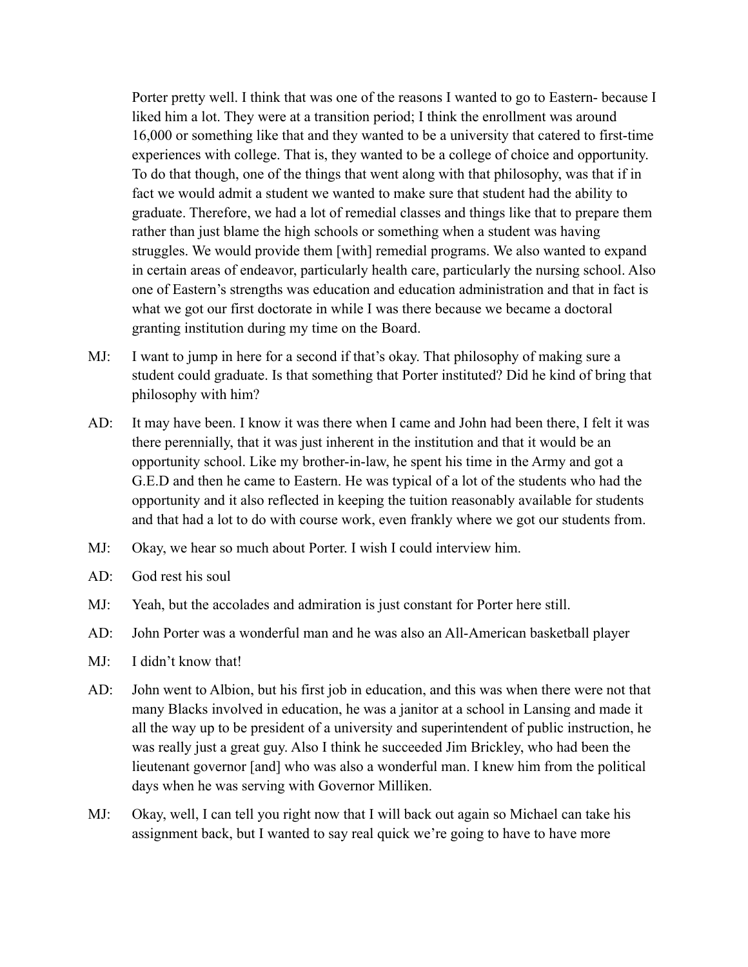Porter pretty well. I think that was one of the reasons I wanted to go to Eastern- because I liked him a lot. They were at a transition period; I think the enrollment was around 16,000 or something like that and they wanted to be a university that catered to first-time experiences with college. That is, they wanted to be a college of choice and opportunity. To do that though, one of the things that went along with that philosophy, was that if in fact we would admit a student we wanted to make sure that student had the ability to graduate. Therefore, we had a lot of remedial classes and things like that to prepare them rather than just blame the high schools or something when a student was having struggles. We would provide them [with] remedial programs. We also wanted to expand in certain areas of endeavor, particularly health care, particularly the nursing school. Also one of Eastern's strengths was education and education administration and that in fact is what we got our first doctorate in while I was there because we became a doctoral granting institution during my time on the Board.

- MJ: I want to jump in here for a second if that's okay. That philosophy of making sure a student could graduate. Is that something that Porter instituted? Did he kind of bring that philosophy with him?
- AD: It may have been. I know it was there when I came and John had been there, I felt it was there perennially, that it was just inherent in the institution and that it would be an opportunity school. Like my brother-in-law, he spent his time in the Army and got a G.E.D and then he came to Eastern. He was typical of a lot of the students who had the opportunity and it also reflected in keeping the tuition reasonably available for students and that had a lot to do with course work, even frankly where we got our students from.
- MJ: Okay, we hear so much about Porter. I wish I could interview him.
- AD: God rest his soul
- MJ: Yeah, but the accolades and admiration is just constant for Porter here still.
- AD: John Porter was a wonderful man and he was also an All-American basketball player
- MJ: I didn't know that!
- AD: John went to Albion, but his first job in education, and this was when there were not that many Blacks involved in education, he was a janitor at a school in Lansing and made it all the way up to be president of a university and superintendent of public instruction, he was really just a great guy. Also I think he succeeded Jim Brickley, who had been the lieutenant governor [and] who was also a wonderful man. I knew him from the political days when he was serving with Governor Milliken.
- MJ: Okay, well, I can tell you right now that I will back out again so Michael can take his assignment back, but I wanted to say real quick we're going to have to have more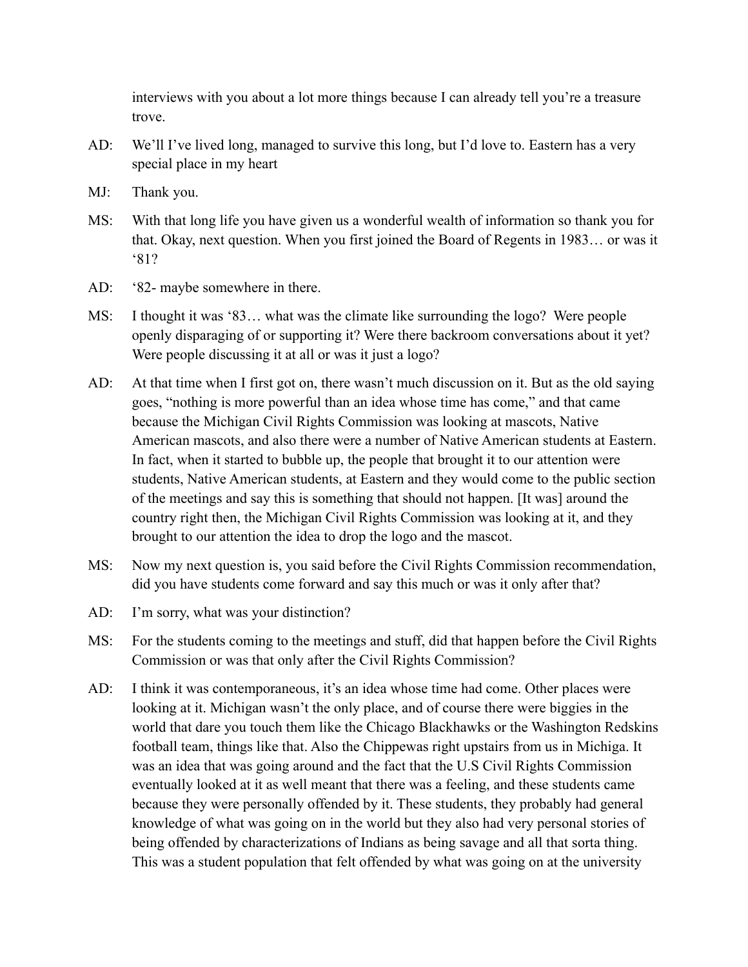interviews with you about a lot more things because I can already tell you're a treasure trove.

- AD: We'll I've lived long, managed to survive this long, but I'd love to. Eastern has a very special place in my heart
- MJ: Thank you.
- MS: With that long life you have given us a wonderful wealth of information so thank you for that. Okay, next question. When you first joined the Board of Regents in 1983… or was it '81?
- AD: '82- maybe somewhere in there.
- MS: I thought it was '83… what was the climate like surrounding the logo? Were people openly disparaging of or supporting it? Were there backroom conversations about it yet? Were people discussing it at all or was it just a logo?
- AD: At that time when I first got on, there wasn't much discussion on it. But as the old saying goes, "nothing is more powerful than an idea whose time has come," and that came because the Michigan Civil Rights Commission was looking at mascots, Native American mascots, and also there were a number of Native American students at Eastern. In fact, when it started to bubble up, the people that brought it to our attention were students, Native American students, at Eastern and they would come to the public section of the meetings and say this is something that should not happen. [It was] around the country right then, the Michigan Civil Rights Commission was looking at it, and they brought to our attention the idea to drop the logo and the mascot.
- MS: Now my next question is, you said before the Civil Rights Commission recommendation, did you have students come forward and say this much or was it only after that?
- AD: I'm sorry, what was your distinction?
- MS: For the students coming to the meetings and stuff, did that happen before the Civil Rights Commission or was that only after the Civil Rights Commission?
- AD: I think it was contemporaneous, it's an idea whose time had come. Other places were looking at it. Michigan wasn't the only place, and of course there were biggies in the world that dare you touch them like the Chicago Blackhawks or the Washington Redskins football team, things like that. Also the Chippewas right upstairs from us in Michiga. It was an idea that was going around and the fact that the U.S Civil Rights Commission eventually looked at it as well meant that there was a feeling, and these students came because they were personally offended by it. These students, they probably had general knowledge of what was going on in the world but they also had very personal stories of being offended by characterizations of Indians as being savage and all that sorta thing. This was a student population that felt offended by what was going on at the university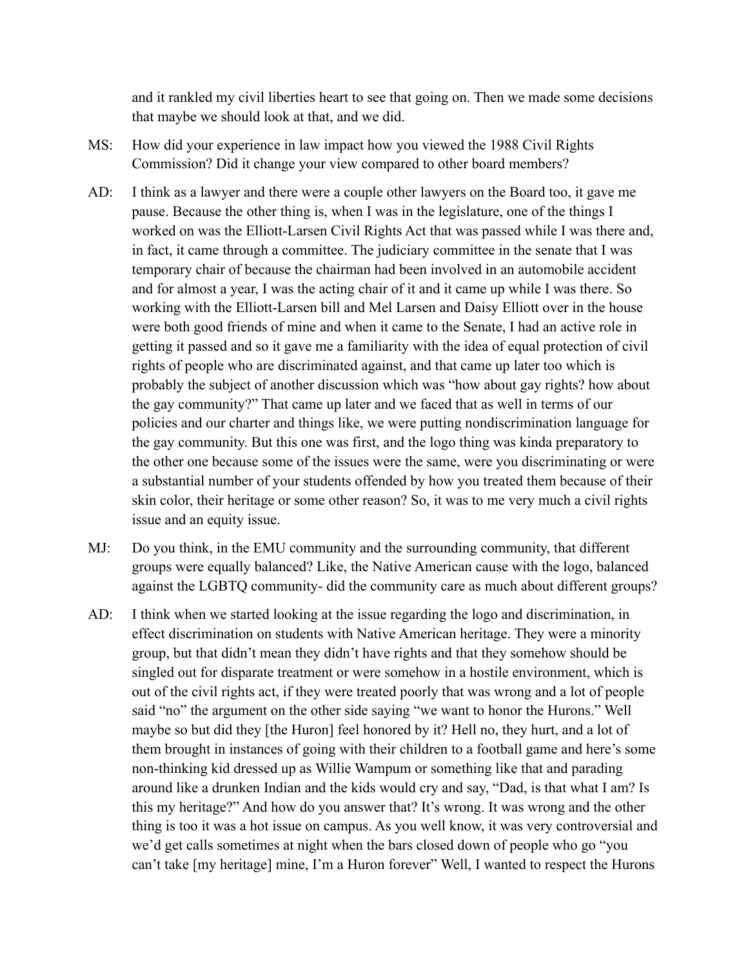and it rankled my civil liberties heart to see that going on. Then we made some decisions that maybe we should look at that, and we did.

- MS: How did your experience in law impact how you viewed the 1988 Civil Rights Commission? Did it change your view compared to other board members?
- AD: I think as a lawyer and there were a couple other lawyers on the Board too, it gave me pause. Because the other thing is, when I was in the legislature, one of the things I worked on was the Elliott-Larsen Civil Rights Act that was passed while I was there and, in fact, it came through a committee. The judiciary committee in the senate that I was temporary chair of because the chairman had been involved in an automobile accident and for almost a year, I was the acting chair of it and it came up while I was there. So working with the Elliott-Larsen bill and Mel Larsen and Daisy Elliott over in the house were both good friends of mine and when it came to the Senate, I had an active role in getting it passed and so it gave me a familiarity with the idea of equal protection of civil rights of people who are discriminated against, and that came up later too which is probably the subject of another discussion which was "how about gay rights? how about the gay community?" That came up later and we faced that as well in terms of our policies and our charter and things like, we were putting nondiscrimination language for the gay community. But this one was first, and the logo thing was kinda preparatory to the other one because some of the issues were the same, were you discriminating or were a substantial number of your students offended by how you treated them because of their skin color, their heritage or some other reason? So, it was to me very much a civil rights issue and an equity issue.
- MJ: Do you think, in the EMU community and the surrounding community, that different groups were equally balanced? Like, the Native American cause with the logo, balanced against the LGBTQ community- did the community care as much about different groups?
- AD: I think when we started looking at the issue regarding the logo and discrimination, in effect discrimination on students with Native American heritage. They were a minority group, but that didn't mean they didn't have rights and that they somehow should be singled out for disparate treatment or were somehow in a hostile environment, which is out of the civil rights act, if they were treated poorly that was wrong and a lot of people said "no" the argument on the other side saying "we want to honor the Hurons." Well maybe so but did they [the Huron] feel honored by it? Hell no, they hurt, and a lot of them brought in instances of going with their children to a football game and here's some non-thinking kid dressed up as Willie Wampum or something like that and parading around like a drunken Indian and the kids would cry and say, "Dad, is that what I am? Is this my heritage?" And how do you answer that? It's wrong. It was wrong and the other thing is too it was a hot issue on campus. As you well know, it was very controversial and we'd get calls sometimes at night when the bars closed down of people who go "you can't take [my heritage] mine, I'm a Huron forever" Well, I wanted to respect the Hurons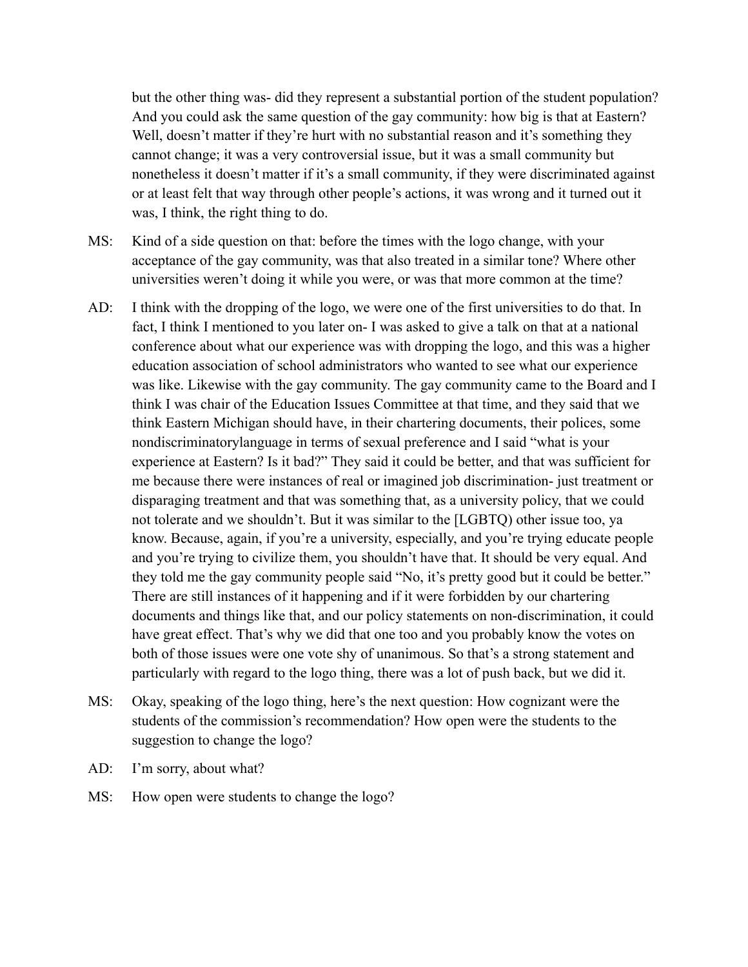but the other thing was- did they represent a substantial portion of the student population? And you could ask the same question of the gay community: how big is that at Eastern? Well, doesn't matter if they're hurt with no substantial reason and it's something they cannot change; it was a very controversial issue, but it was a small community but nonetheless it doesn't matter if it's a small community, if they were discriminated against or at least felt that way through other people's actions, it was wrong and it turned out it was, I think, the right thing to do.

- MS: Kind of a side question on that: before the times with the logo change, with your acceptance of the gay community, was that also treated in a similar tone? Where other universities weren't doing it while you were, or was that more common at the time?
- AD: I think with the dropping of the logo, we were one of the first universities to do that. In fact, I think I mentioned to you later on- I was asked to give a talk on that at a national conference about what our experience was with dropping the logo, and this was a higher education association of school administrators who wanted to see what our experience was like. Likewise with the gay community. The gay community came to the Board and I think I was chair of the Education Issues Committee at that time, and they said that we think Eastern Michigan should have, in their chartering documents, their polices, some nondiscriminatorylanguage in terms of sexual preference and I said "what is your experience at Eastern? Is it bad?" They said it could be better, and that was sufficient for me because there were instances of real or imagined job discrimination- just treatment or disparaging treatment and that was something that, as a university policy, that we could not tolerate and we shouldn't. But it was similar to the [LGBTQ) other issue too, ya know. Because, again, if you're a university, especially, and you're trying educate people and you're trying to civilize them, you shouldn't have that. It should be very equal. And they told me the gay community people said "No, it's pretty good but it could be better." There are still instances of it happening and if it were forbidden by our chartering documents and things like that, and our policy statements on non-discrimination, it could have great effect. That's why we did that one too and you probably know the votes on both of those issues were one vote shy of unanimous. So that's a strong statement and particularly with regard to the logo thing, there was a lot of push back, but we did it.
- MS: Okay, speaking of the logo thing, here's the next question: How cognizant were the students of the commission's recommendation? How open were the students to the suggestion to change the logo?
- AD: I'm sorry, about what?
- MS: How open were students to change the logo?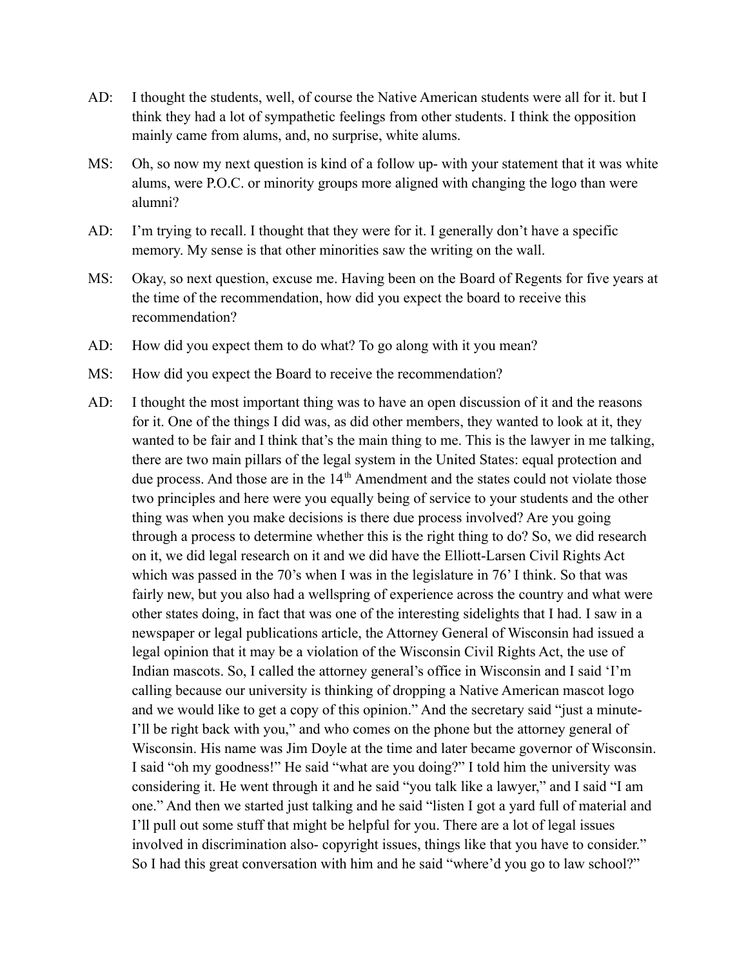- AD: I thought the students, well, of course the Native American students were all for it. but I think they had a lot of sympathetic feelings from other students. I think the opposition mainly came from alums, and, no surprise, white alums.
- MS: Oh, so now my next question is kind of a follow up- with your statement that it was white alums, were P.O.C. or minority groups more aligned with changing the logo than were alumni?
- AD: I'm trying to recall. I thought that they were for it. I generally don't have a specific memory. My sense is that other minorities saw the writing on the wall.
- MS: Okay, so next question, excuse me. Having been on the Board of Regents for five years at the time of the recommendation, how did you expect the board to receive this recommendation?
- AD: How did you expect them to do what? To go along with it you mean?
- MS: How did you expect the Board to receive the recommendation?
- AD: I thought the most important thing was to have an open discussion of it and the reasons for it. One of the things I did was, as did other members, they wanted to look at it, they wanted to be fair and I think that's the main thing to me. This is the lawyer in me talking, there are two main pillars of the legal system in the United States: equal protection and due process. And those are in the 14<sup>th</sup> Amendment and the states could not violate those two principles and here were you equally being of service to your students and the other thing was when you make decisions is there due process involved? Are you going through a process to determine whether this is the right thing to do? So, we did research on it, we did legal research on it and we did have the Elliott-Larsen Civil Rights Act which was passed in the 70's when I was in the legislature in 76' I think. So that was fairly new, but you also had a wellspring of experience across the country and what were other states doing, in fact that was one of the interesting sidelights that I had. I saw in a newspaper or legal publications article, the Attorney General of Wisconsin had issued a legal opinion that it may be a violation of the Wisconsin Civil Rights Act, the use of Indian mascots. So, I called the attorney general's office in Wisconsin and I said 'I'm calling because our university is thinking of dropping a Native American mascot logo and we would like to get a copy of this opinion." And the secretary said "just a minute-I'll be right back with you," and who comes on the phone but the attorney general of Wisconsin. His name was Jim Doyle at the time and later became governor of Wisconsin. I said "oh my goodness!" He said "what are you doing?" I told him the university was considering it. He went through it and he said "you talk like a lawyer," and I said "I am one." And then we started just talking and he said "listen I got a yard full of material and I'll pull out some stuff that might be helpful for you. There are a lot of legal issues involved in discrimination also- copyright issues, things like that you have to consider." So I had this great conversation with him and he said "where'd you go to law school?"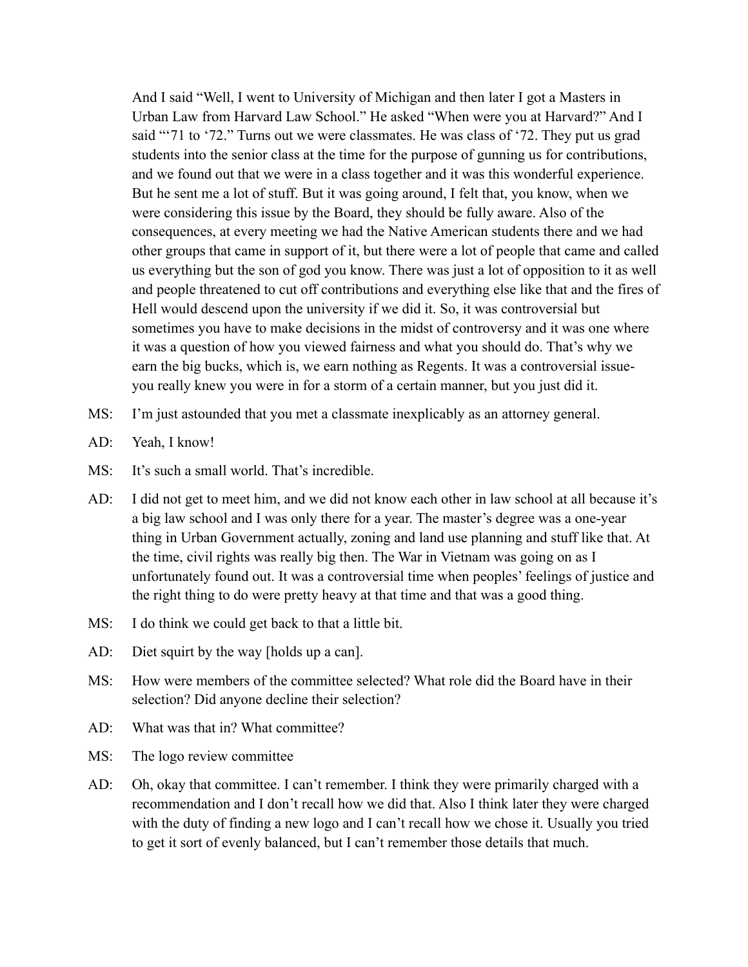And I said "Well, I went to University of Michigan and then later I got a Masters in Urban Law from Harvard Law School." He asked "When were you at Harvard?" And I said "'71 to '72." Turns out we were classmates. He was class of '72. They put us grad students into the senior class at the time for the purpose of gunning us for contributions, and we found out that we were in a class together and it was this wonderful experience. But he sent me a lot of stuff. But it was going around, I felt that, you know, when we were considering this issue by the Board, they should be fully aware. Also of the consequences, at every meeting we had the Native American students there and we had other groups that came in support of it, but there were a lot of people that came and called us everything but the son of god you know. There was just a lot of opposition to it as well and people threatened to cut off contributions and everything else like that and the fires of Hell would descend upon the university if we did it. So, it was controversial but sometimes you have to make decisions in the midst of controversy and it was one where it was a question of how you viewed fairness and what you should do. That's why we earn the big bucks, which is, we earn nothing as Regents. It was a controversial issueyou really knew you were in for a storm of a certain manner, but you just did it.

- MS: I'm just astounded that you met a classmate inexplicably as an attorney general.
- AD: Yeah, I know!
- MS: It's such a small world. That's incredible.
- AD: I did not get to meet him, and we did not know each other in law school at all because it's a big law school and I was only there for a year. The master's degree was a one-year thing in Urban Government actually, zoning and land use planning and stuff like that. At the time, civil rights was really big then. The War in Vietnam was going on as I unfortunately found out. It was a controversial time when peoples' feelings of justice and the right thing to do were pretty heavy at that time and that was a good thing.
- MS: I do think we could get back to that a little bit.
- AD: Diet squirt by the way [holds up a can].
- MS: How were members of the committee selected? What role did the Board have in their selection? Did anyone decline their selection?
- AD: What was that in? What committee?
- MS: The logo review committee
- AD: Oh, okay that committee. I can't remember. I think they were primarily charged with a recommendation and I don't recall how we did that. Also I think later they were charged with the duty of finding a new logo and I can't recall how we chose it. Usually you tried to get it sort of evenly balanced, but I can't remember those details that much.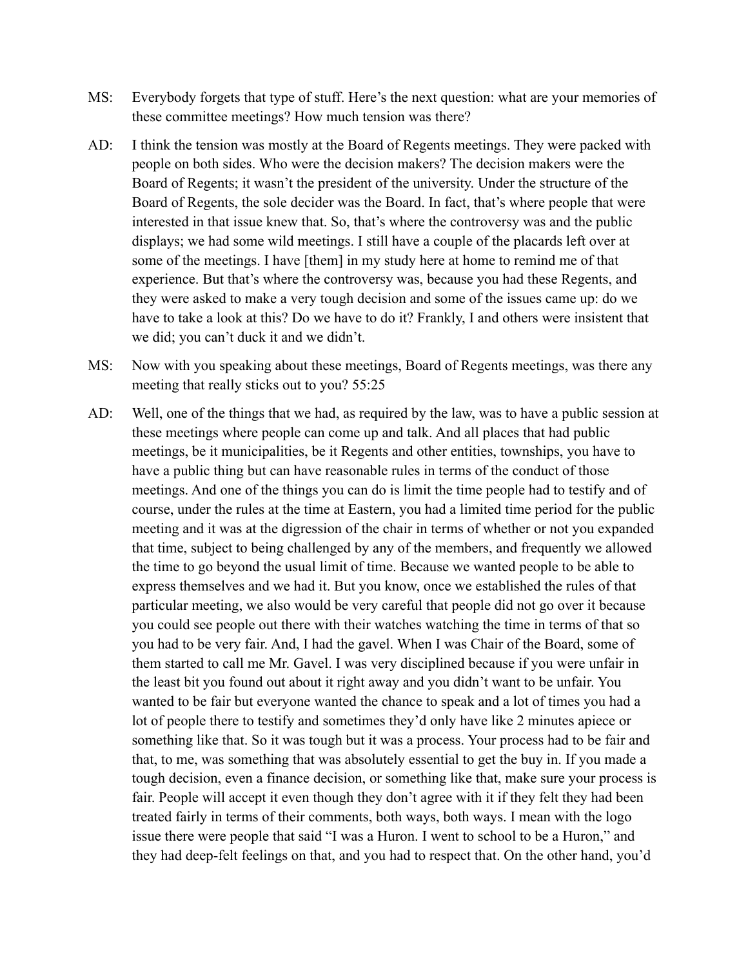- MS: Everybody forgets that type of stuff. Here's the next question: what are your memories of these committee meetings? How much tension was there?
- AD: I think the tension was mostly at the Board of Regents meetings. They were packed with people on both sides. Who were the decision makers? The decision makers were the Board of Regents; it wasn't the president of the university. Under the structure of the Board of Regents, the sole decider was the Board. In fact, that's where people that were interested in that issue knew that. So, that's where the controversy was and the public displays; we had some wild meetings. I still have a couple of the placards left over at some of the meetings. I have [them] in my study here at home to remind me of that experience. But that's where the controversy was, because you had these Regents, and they were asked to make a very tough decision and some of the issues came up: do we have to take a look at this? Do we have to do it? Frankly, I and others were insistent that we did; you can't duck it and we didn't.
- MS: Now with you speaking about these meetings, Board of Regents meetings, was there any meeting that really sticks out to you? 55:25
- AD: Well, one of the things that we had, as required by the law, was to have a public session at these meetings where people can come up and talk. And all places that had public meetings, be it municipalities, be it Regents and other entities, townships, you have to have a public thing but can have reasonable rules in terms of the conduct of those meetings. And one of the things you can do is limit the time people had to testify and of course, under the rules at the time at Eastern, you had a limited time period for the public meeting and it was at the digression of the chair in terms of whether or not you expanded that time, subject to being challenged by any of the members, and frequently we allowed the time to go beyond the usual limit of time. Because we wanted people to be able to express themselves and we had it. But you know, once we established the rules of that particular meeting, we also would be very careful that people did not go over it because you could see people out there with their watches watching the time in terms of that so you had to be very fair. And, I had the gavel. When I was Chair of the Board, some of them started to call me Mr. Gavel. I was very disciplined because if you were unfair in the least bit you found out about it right away and you didn't want to be unfair. You wanted to be fair but everyone wanted the chance to speak and a lot of times you had a lot of people there to testify and sometimes they'd only have like 2 minutes apiece or something like that. So it was tough but it was a process. Your process had to be fair and that, to me, was something that was absolutely essential to get the buy in. If you made a tough decision, even a finance decision, or something like that, make sure your process is fair. People will accept it even though they don't agree with it if they felt they had been treated fairly in terms of their comments, both ways, both ways. I mean with the logo issue there were people that said "I was a Huron. I went to school to be a Huron," and they had deep-felt feelings on that, and you had to respect that. On the other hand, you'd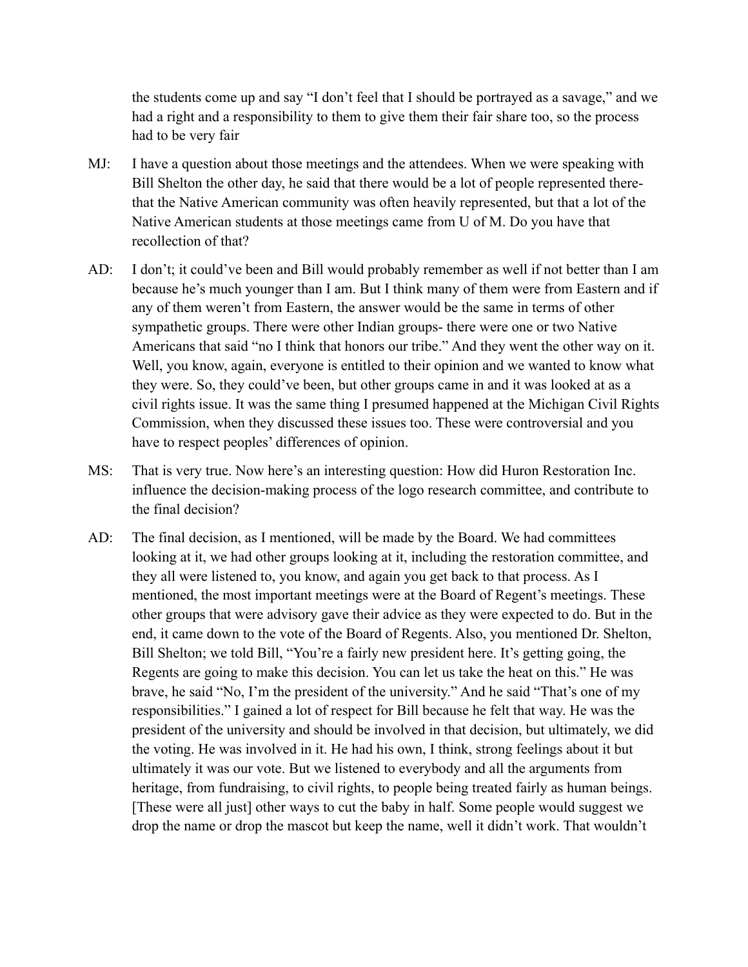the students come up and say "I don't feel that I should be portrayed as a savage," and we had a right and a responsibility to them to give them their fair share too, so the process had to be very fair

- MJ: I have a question about those meetings and the attendees. When we were speaking with Bill Shelton the other day, he said that there would be a lot of people represented therethat the Native American community was often heavily represented, but that a lot of the Native American students at those meetings came from U of M. Do you have that recollection of that?
- AD: I don't; it could've been and Bill would probably remember as well if not better than I am because he's much younger than I am. But I think many of them were from Eastern and if any of them weren't from Eastern, the answer would be the same in terms of other sympathetic groups. There were other Indian groups- there were one or two Native Americans that said "no I think that honors our tribe." And they went the other way on it. Well, you know, again, everyone is entitled to their opinion and we wanted to know what they were. So, they could've been, but other groups came in and it was looked at as a civil rights issue. It was the same thing I presumed happened at the Michigan Civil Rights Commission, when they discussed these issues too. These were controversial and you have to respect peoples' differences of opinion.
- MS: That is very true. Now here's an interesting question: How did Huron Restoration Inc. influence the decision-making process of the logo research committee, and contribute to the final decision?
- AD: The final decision, as I mentioned, will be made by the Board. We had committees looking at it, we had other groups looking at it, including the restoration committee, and they all were listened to, you know, and again you get back to that process. As I mentioned, the most important meetings were at the Board of Regent's meetings. These other groups that were advisory gave their advice as they were expected to do. But in the end, it came down to the vote of the Board of Regents. Also, you mentioned Dr. Shelton, Bill Shelton; we told Bill, "You're a fairly new president here. It's getting going, the Regents are going to make this decision. You can let us take the heat on this." He was brave, he said "No, I'm the president of the university." And he said "That's one of my responsibilities." I gained a lot of respect for Bill because he felt that way. He was the president of the university and should be involved in that decision, but ultimately, we did the voting. He was involved in it. He had his own, I think, strong feelings about it but ultimately it was our vote. But we listened to everybody and all the arguments from heritage, from fundraising, to civil rights, to people being treated fairly as human beings. [These were all just] other ways to cut the baby in half. Some people would suggest we drop the name or drop the mascot but keep the name, well it didn't work. That wouldn't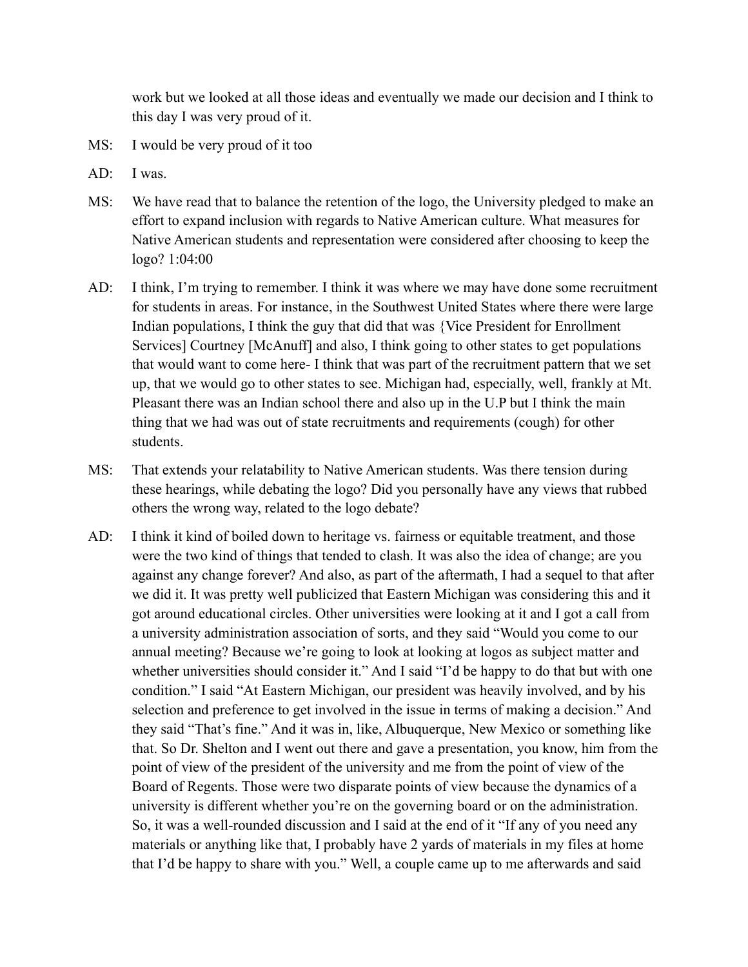work but we looked at all those ideas and eventually we made our decision and I think to this day I was very proud of it.

- MS: I would be very proud of it too
- AD: I was.
- MS: We have read that to balance the retention of the logo, the University pledged to make an effort to expand inclusion with regards to Native American culture. What measures for Native American students and representation were considered after choosing to keep the logo? 1:04:00
- AD: I think, I'm trying to remember. I think it was where we may have done some recruitment for students in areas. For instance, in the Southwest United States where there were large Indian populations, I think the guy that did that was {Vice President for Enrollment Services] Courtney [McAnuff] and also, I think going to other states to get populations that would want to come here- I think that was part of the recruitment pattern that we set up, that we would go to other states to see. Michigan had, especially, well, frankly at Mt. Pleasant there was an Indian school there and also up in the U.P but I think the main thing that we had was out of state recruitments and requirements (cough) for other students.
- MS: That extends your relatability to Native American students. Was there tension during these hearings, while debating the logo? Did you personally have any views that rubbed others the wrong way, related to the logo debate?
- AD: I think it kind of boiled down to heritage vs. fairness or equitable treatment, and those were the two kind of things that tended to clash. It was also the idea of change; are you against any change forever? And also, as part of the aftermath, I had a sequel to that after we did it. It was pretty well publicized that Eastern Michigan was considering this and it got around educational circles. Other universities were looking at it and I got a call from a university administration association of sorts, and they said "Would you come to our annual meeting? Because we're going to look at looking at logos as subject matter and whether universities should consider it." And I said "I'd be happy to do that but with one condition." I said "At Eastern Michigan, our president was heavily involved, and by his selection and preference to get involved in the issue in terms of making a decision." And they said "That's fine." And it was in, like, Albuquerque, New Mexico or something like that. So Dr. Shelton and I went out there and gave a presentation, you know, him from the point of view of the president of the university and me from the point of view of the Board of Regents. Those were two disparate points of view because the dynamics of a university is different whether you're on the governing board or on the administration. So, it was a well-rounded discussion and I said at the end of it "If any of you need any materials or anything like that, I probably have 2 yards of materials in my files at home that I'd be happy to share with you." Well, a couple came up to me afterwards and said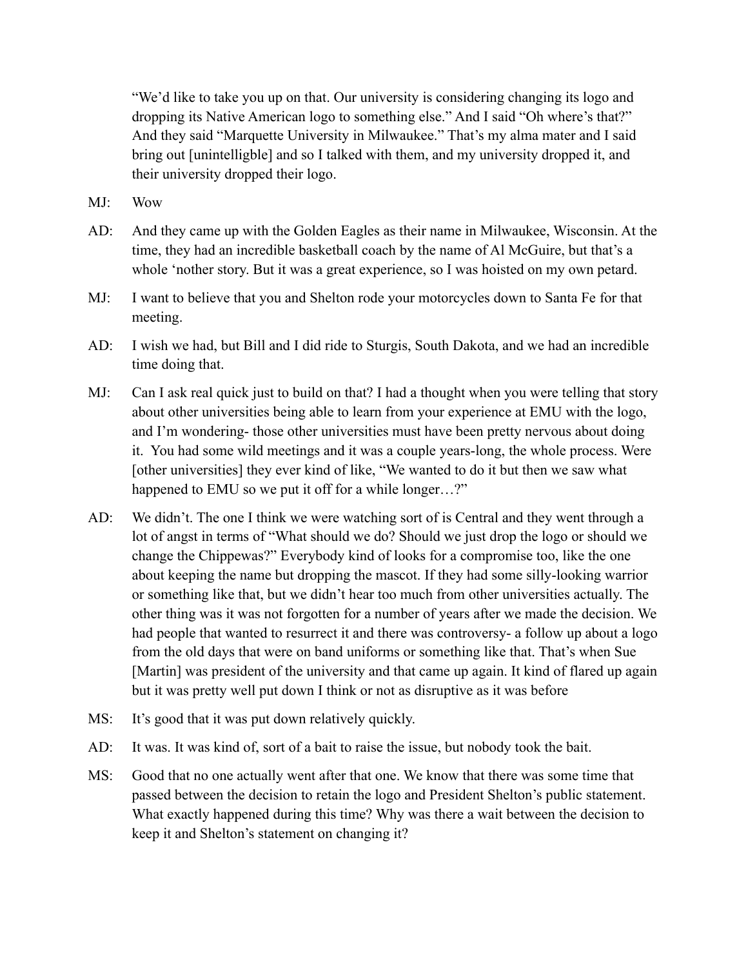"We'd like to take you up on that. Our university is considering changing its logo and dropping its Native American logo to something else." And I said "Oh where's that?" And they said "Marquette University in Milwaukee." That's my alma mater and I said bring out [unintelligble] and so I talked with them, and my university dropped it, and their university dropped their logo.

- MJ: Wow
- AD: And they came up with the Golden Eagles as their name in Milwaukee, Wisconsin. At the time, they had an incredible basketball coach by the name of Al McGuire, but that's a whole 'nother story. But it was a great experience, so I was hoisted on my own petard.
- MJ: I want to believe that you and Shelton rode your motorcycles down to Santa Fe for that meeting.
- AD: I wish we had, but Bill and I did ride to Sturgis, South Dakota, and we had an incredible time doing that.
- MJ: Can I ask real quick just to build on that? I had a thought when you were telling that story about other universities being able to learn from your experience at EMU with the logo, and I'm wondering- those other universities must have been pretty nervous about doing it. You had some wild meetings and it was a couple years-long, the whole process. Were [other universities] they ever kind of like, "We wanted to do it but then we saw what happened to EMU so we put it off for a while longer...?"
- AD: We didn't. The one I think we were watching sort of is Central and they went through a lot of angst in terms of "What should we do? Should we just drop the logo or should we change the Chippewas?" Everybody kind of looks for a compromise too, like the one about keeping the name but dropping the mascot. If they had some silly-looking warrior or something like that, but we didn't hear too much from other universities actually. The other thing was it was not forgotten for a number of years after we made the decision. We had people that wanted to resurrect it and there was controversy- a follow up about a logo from the old days that were on band uniforms or something like that. That's when Sue [Martin] was president of the university and that came up again. It kind of flared up again but it was pretty well put down I think or not as disruptive as it was before
- MS: It's good that it was put down relatively quickly.
- AD: It was. It was kind of, sort of a bait to raise the issue, but nobody took the bait.
- MS: Good that no one actually went after that one. We know that there was some time that passed between the decision to retain the logo and President Shelton's public statement. What exactly happened during this time? Why was there a wait between the decision to keep it and Shelton's statement on changing it?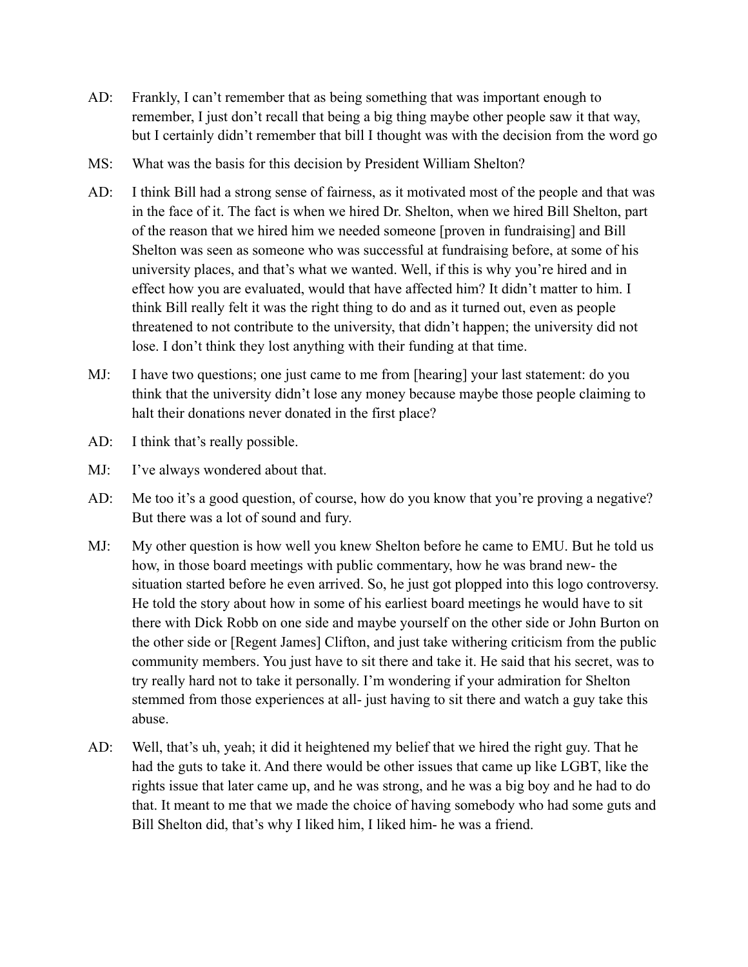- AD: Frankly, I can't remember that as being something that was important enough to remember, I just don't recall that being a big thing maybe other people saw it that way, but I certainly didn't remember that bill I thought was with the decision from the word go
- MS: What was the basis for this decision by President William Shelton?
- AD: I think Bill had a strong sense of fairness, as it motivated most of the people and that was in the face of it. The fact is when we hired Dr. Shelton, when we hired Bill Shelton, part of the reason that we hired him we needed someone [proven in fundraising] and Bill Shelton was seen as someone who was successful at fundraising before, at some of his university places, and that's what we wanted. Well, if this is why you're hired and in effect how you are evaluated, would that have affected him? It didn't matter to him. I think Bill really felt it was the right thing to do and as it turned out, even as people threatened to not contribute to the university, that didn't happen; the university did not lose. I don't think they lost anything with their funding at that time.
- MJ: I have two questions; one just came to me from [hearing] your last statement: do you think that the university didn't lose any money because maybe those people claiming to halt their donations never donated in the first place?
- AD: I think that's really possible.
- MJ: I've always wondered about that.
- AD: Me too it's a good question, of course, how do you know that you're proving a negative? But there was a lot of sound and fury.
- MJ: My other question is how well you knew Shelton before he came to EMU. But he told us how, in those board meetings with public commentary, how he was brand new- the situation started before he even arrived. So, he just got plopped into this logo controversy. He told the story about how in some of his earliest board meetings he would have to sit there with Dick Robb on one side and maybe yourself on the other side or John Burton on the other side or [Regent James] Clifton, and just take withering criticism from the public community members. You just have to sit there and take it. He said that his secret, was to try really hard not to take it personally. I'm wondering if your admiration for Shelton stemmed from those experiences at all- just having to sit there and watch a guy take this abuse.
- AD: Well, that's uh, yeah; it did it heightened my belief that we hired the right guy. That he had the guts to take it. And there would be other issues that came up like LGBT, like the rights issue that later came up, and he was strong, and he was a big boy and he had to do that. It meant to me that we made the choice of having somebody who had some guts and Bill Shelton did, that's why I liked him, I liked him- he was a friend.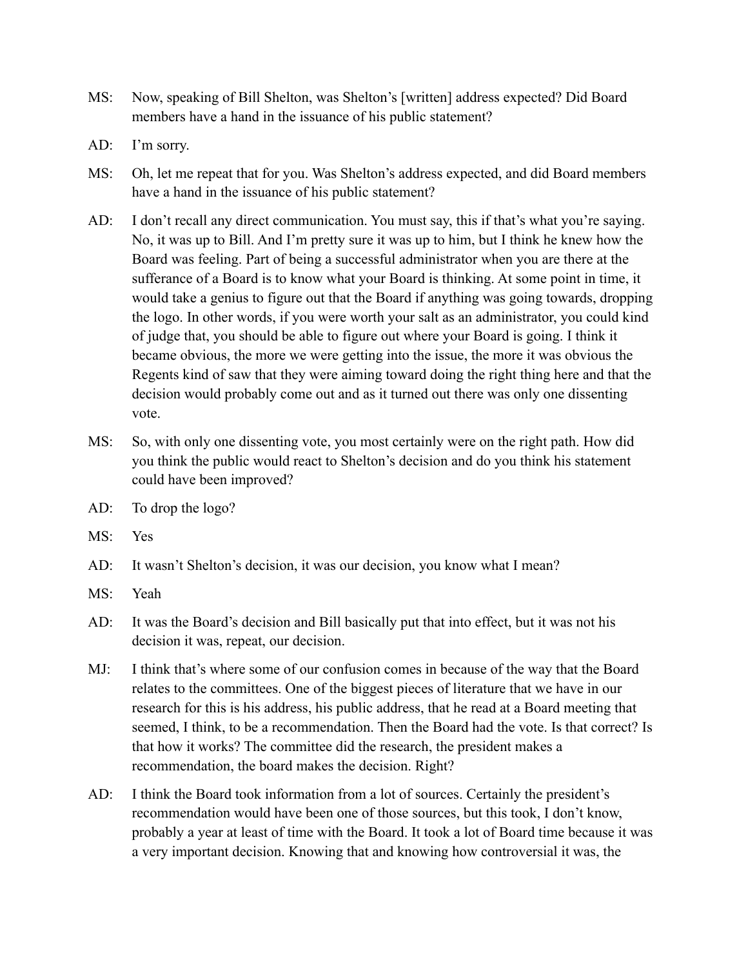- MS: Now, speaking of Bill Shelton, was Shelton's [written] address expected? Did Board members have a hand in the issuance of his public statement?
- AD: I'm sorry.
- MS: Oh, let me repeat that for you. Was Shelton's address expected, and did Board members have a hand in the issuance of his public statement?
- AD: I don't recall any direct communication. You must say, this if that's what you're saying. No, it was up to Bill. And I'm pretty sure it was up to him, but I think he knew how the Board was feeling. Part of being a successful administrator when you are there at the sufferance of a Board is to know what your Board is thinking. At some point in time, it would take a genius to figure out that the Board if anything was going towards, dropping the logo. In other words, if you were worth your salt as an administrator, you could kind of judge that, you should be able to figure out where your Board is going. I think it became obvious, the more we were getting into the issue, the more it was obvious the Regents kind of saw that they were aiming toward doing the right thing here and that the decision would probably come out and as it turned out there was only one dissenting vote.
- MS: So, with only one dissenting vote, you most certainly were on the right path. How did you think the public would react to Shelton's decision and do you think his statement could have been improved?
- AD: To drop the logo?
- MS: Yes
- AD: It wasn't Shelton's decision, it was our decision, you know what I mean?
- MS: Yeah
- AD: It was the Board's decision and Bill basically put that into effect, but it was not his decision it was, repeat, our decision.
- MJ: I think that's where some of our confusion comes in because of the way that the Board relates to the committees. One of the biggest pieces of literature that we have in our research for this is his address, his public address, that he read at a Board meeting that seemed, I think, to be a recommendation. Then the Board had the vote. Is that correct? Is that how it works? The committee did the research, the president makes a recommendation, the board makes the decision. Right?
- AD: I think the Board took information from a lot of sources. Certainly the president's recommendation would have been one of those sources, but this took, I don't know, probably a year at least of time with the Board. It took a lot of Board time because it was a very important decision. Knowing that and knowing how controversial it was, the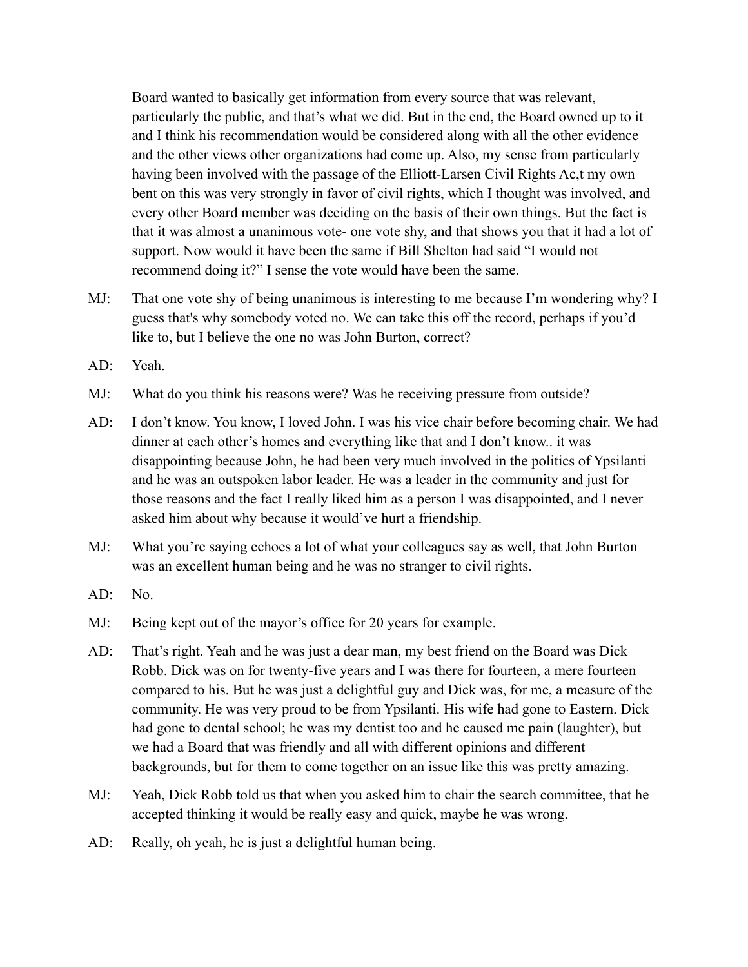Board wanted to basically get information from every source that was relevant, particularly the public, and that's what we did. But in the end, the Board owned up to it and I think his recommendation would be considered along with all the other evidence and the other views other organizations had come up. Also, my sense from particularly having been involved with the passage of the Elliott-Larsen Civil Rights Ac,t my own bent on this was very strongly in favor of civil rights, which I thought was involved, and every other Board member was deciding on the basis of their own things. But the fact is that it was almost a unanimous vote- one vote shy, and that shows you that it had a lot of support. Now would it have been the same if Bill Shelton had said "I would not recommend doing it?" I sense the vote would have been the same.

- MJ: That one vote shy of being unanimous is interesting to me because I'm wondering why? I guess that's why somebody voted no. We can take this off the record, perhaps if you'd like to, but I believe the one no was John Burton, correct?
- AD: Yeah.
- MJ: What do you think his reasons were? Was he receiving pressure from outside?
- AD: I don't know. You know, I loved John. I was his vice chair before becoming chair. We had dinner at each other's homes and everything like that and I don't know.. it was disappointing because John, he had been very much involved in the politics of Ypsilanti and he was an outspoken labor leader. He was a leader in the community and just for those reasons and the fact I really liked him as a person I was disappointed, and I never asked him about why because it would've hurt a friendship.
- MJ: What you're saying echoes a lot of what your colleagues say as well, that John Burton was an excellent human being and he was no stranger to civil rights.
- AD: No.
- MJ: Being kept out of the mayor's office for 20 years for example.
- AD: That's right. Yeah and he was just a dear man, my best friend on the Board was Dick Robb. Dick was on for twenty-five years and I was there for fourteen, a mere fourteen compared to his. But he was just a delightful guy and Dick was, for me, a measure of the community. He was very proud to be from Ypsilanti. His wife had gone to Eastern. Dick had gone to dental school; he was my dentist too and he caused me pain (laughter), but we had a Board that was friendly and all with different opinions and different backgrounds, but for them to come together on an issue like this was pretty amazing.
- MJ: Yeah, Dick Robb told us that when you asked him to chair the search committee, that he accepted thinking it would be really easy and quick, maybe he was wrong.
- AD: Really, oh yeah, he is just a delightful human being.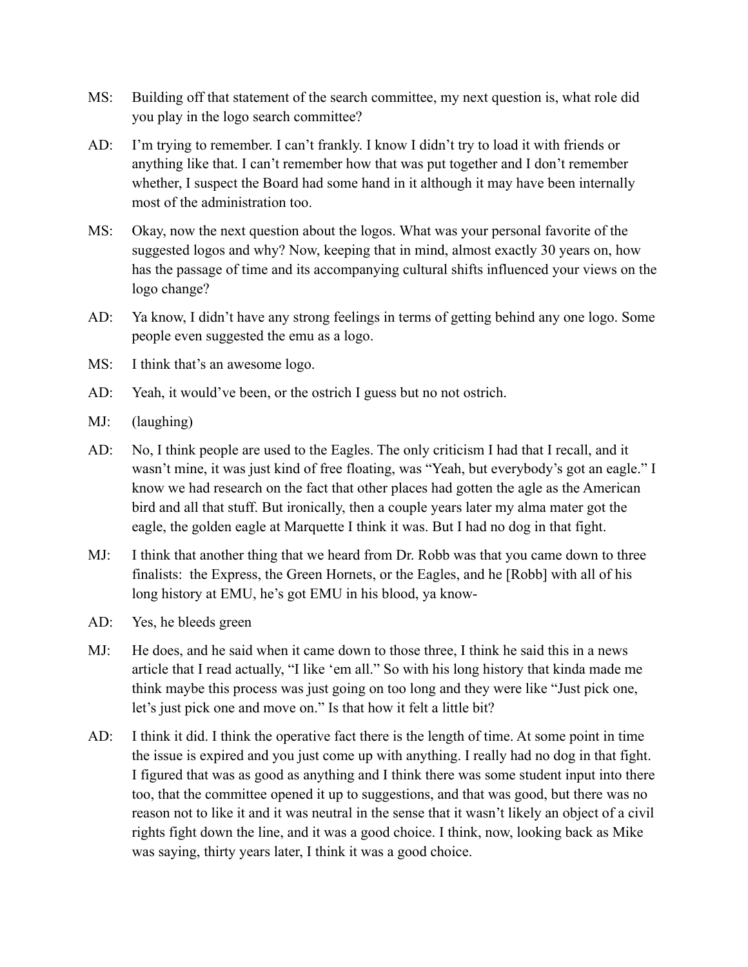- MS: Building off that statement of the search committee, my next question is, what role did you play in the logo search committee?
- AD: I'm trying to remember. I can't frankly. I know I didn't try to load it with friends or anything like that. I can't remember how that was put together and I don't remember whether, I suspect the Board had some hand in it although it may have been internally most of the administration too.
- MS: Okay, now the next question about the logos. What was your personal favorite of the suggested logos and why? Now, keeping that in mind, almost exactly 30 years on, how has the passage of time and its accompanying cultural shifts influenced your views on the logo change?
- AD: Ya know, I didn't have any strong feelings in terms of getting behind any one logo. Some people even suggested the emu as a logo.
- MS: I think that's an awesome logo.
- AD: Yeah, it would've been, or the ostrich I guess but no not ostrich.
- MJ: (laughing)
- AD: No, I think people are used to the Eagles. The only criticism I had that I recall, and it wasn't mine, it was just kind of free floating, was "Yeah, but everybody's got an eagle." I know we had research on the fact that other places had gotten the agle as the American bird and all that stuff. But ironically, then a couple years later my alma mater got the eagle, the golden eagle at Marquette I think it was. But I had no dog in that fight.
- MJ: I think that another thing that we heard from Dr. Robb was that you came down to three finalists: the Express, the Green Hornets, or the Eagles, and he [Robb] with all of his long history at EMU, he's got EMU in his blood, ya know-
- AD: Yes, he bleeds green
- MJ: He does, and he said when it came down to those three, I think he said this in a news article that I read actually, "I like 'em all." So with his long history that kinda made me think maybe this process was just going on too long and they were like "Just pick one, let's just pick one and move on." Is that how it felt a little bit?
- AD: I think it did. I think the operative fact there is the length of time. At some point in time the issue is expired and you just come up with anything. I really had no dog in that fight. I figured that was as good as anything and I think there was some student input into there too, that the committee opened it up to suggestions, and that was good, but there was no reason not to like it and it was neutral in the sense that it wasn't likely an object of a civil rights fight down the line, and it was a good choice. I think, now, looking back as Mike was saying, thirty years later, I think it was a good choice.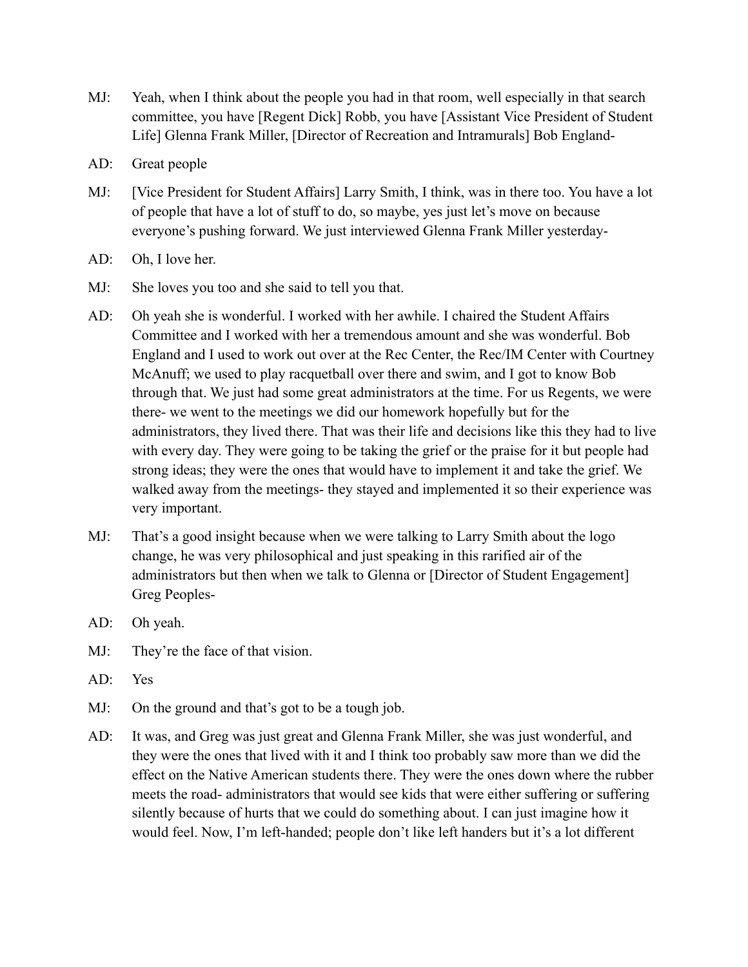- MJ: Yeah, when I think about the people you had in that room, well especially in that search committee, you have [Regent Dick] Robb, you have [Assistant Vice President of Student Life] Glenna Frank Miller, [Director of Recreation and Intramurals] Bob England-
- AD: Great people
- MJ: [Vice President for Student Affairs] Larry Smith, I think, was in there too. You have a lot of people that have a lot of stuff to do, so maybe, yes just let's move on because everyone's pushing forward. We just interviewed Glenna Frank Miller yesterday-
- AD: Oh, I love her.
- MJ: She loves you too and she said to tell you that.
- AD: Oh yeah she is wonderful. I worked with her awhile. I chaired the Student Affairs Committee and I worked with her a tremendous amount and she was wonderful. Bob England and I used to work out over at the Rec Center, the Rec/IM Center with Courtney McAnuff; we used to play racquetball over there and swim, and I got to know Bob through that. We just had some great administrators at the time. For us Regents, we were there- we went to the meetings we did our homework hopefully but for the administrators, they lived there. That was their life and decisions like this they had to live with every day. They were going to be taking the grief or the praise for it but people had strong ideas; they were the ones that would have to implement it and take the grief. We walked away from the meetings- they stayed and implemented it so their experience was very important.
- MJ: That's a good insight because when we were talking to Larry Smith about the logo change, he was very philosophical and just speaking in this rarified air of the administrators but then when we talk to Glenna or [Director of Student Engagement] Greg Peoples-
- AD: Oh yeah.
- MJ: They're the face of that vision.
- AD: Yes
- MJ: On the ground and that's got to be a tough job.
- AD: It was, and Greg was just great and Glenna Frank Miller, she was just wonderful, and they were the ones that lived with it and I think too probably saw more than we did the effect on the Native American students there. They were the ones down where the rubber meets the road- administrators that would see kids that were either suffering or suffering silently because of hurts that we could do something about. I can just imagine how it would feel. Now, I'm left-handed; people don't like left handers but it's a lot different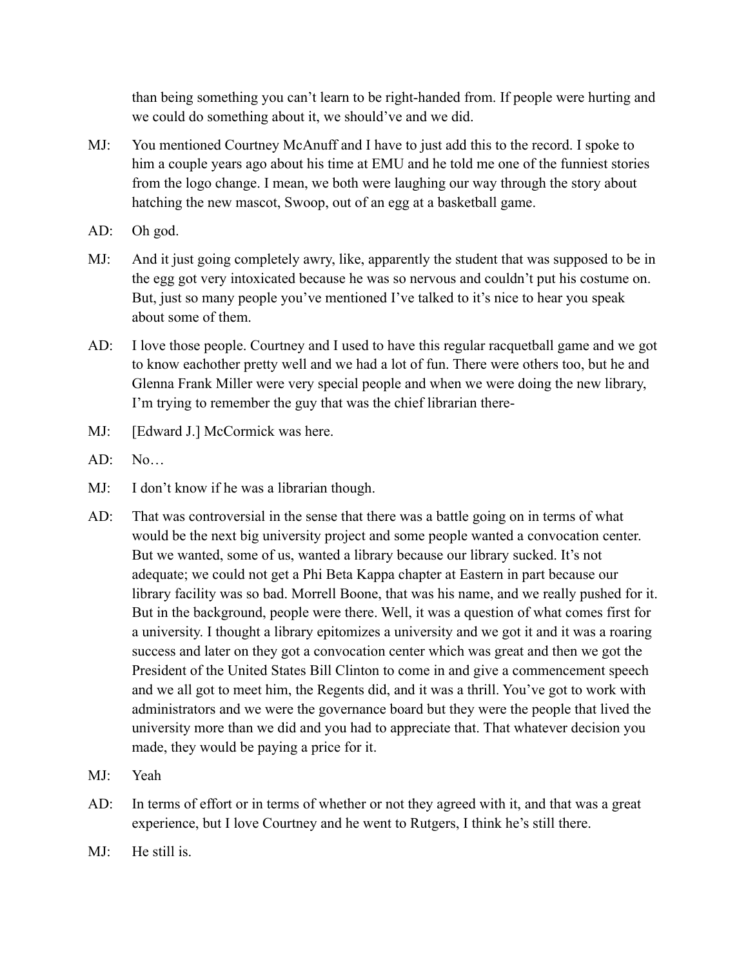than being something you can't learn to be right-handed from. If people were hurting and we could do something about it, we should've and we did.

- MJ: You mentioned Courtney McAnuff and I have to just add this to the record. I spoke to him a couple years ago about his time at EMU and he told me one of the funniest stories from the logo change. I mean, we both were laughing our way through the story about hatching the new mascot, Swoop, out of an egg at a basketball game.
- AD: Oh god.
- MJ: And it just going completely awry, like, apparently the student that was supposed to be in the egg got very intoxicated because he was so nervous and couldn't put his costume on. But, just so many people you've mentioned I've talked to it's nice to hear you speak about some of them.
- AD: I love those people. Courtney and I used to have this regular racquetball game and we got to know eachother pretty well and we had a lot of fun. There were others too, but he and Glenna Frank Miller were very special people and when we were doing the new library, I'm trying to remember the guy that was the chief librarian there-
- MJ: [Edward J.] McCormick was here.
- $AD: No...$
- MJ: I don't know if he was a librarian though.
- AD: That was controversial in the sense that there was a battle going on in terms of what would be the next big university project and some people wanted a convocation center. But we wanted, some of us, wanted a library because our library sucked. It's not adequate; we could not get a Phi Beta Kappa chapter at Eastern in part because our library facility was so bad. Morrell Boone, that was his name, and we really pushed for it. But in the background, people were there. Well, it was a question of what comes first for a university. I thought a library epitomizes a university and we got it and it was a roaring success and later on they got a convocation center which was great and then we got the President of the United States Bill Clinton to come in and give a commencement speech and we all got to meet him, the Regents did, and it was a thrill. You've got to work with administrators and we were the governance board but they were the people that lived the university more than we did and you had to appreciate that. That whatever decision you made, they would be paying a price for it.
- MJ: Yeah
- AD: In terms of effort or in terms of whether or not they agreed with it, and that was a great experience, but I love Courtney and he went to Rutgers, I think he's still there.
- MJ: He still is.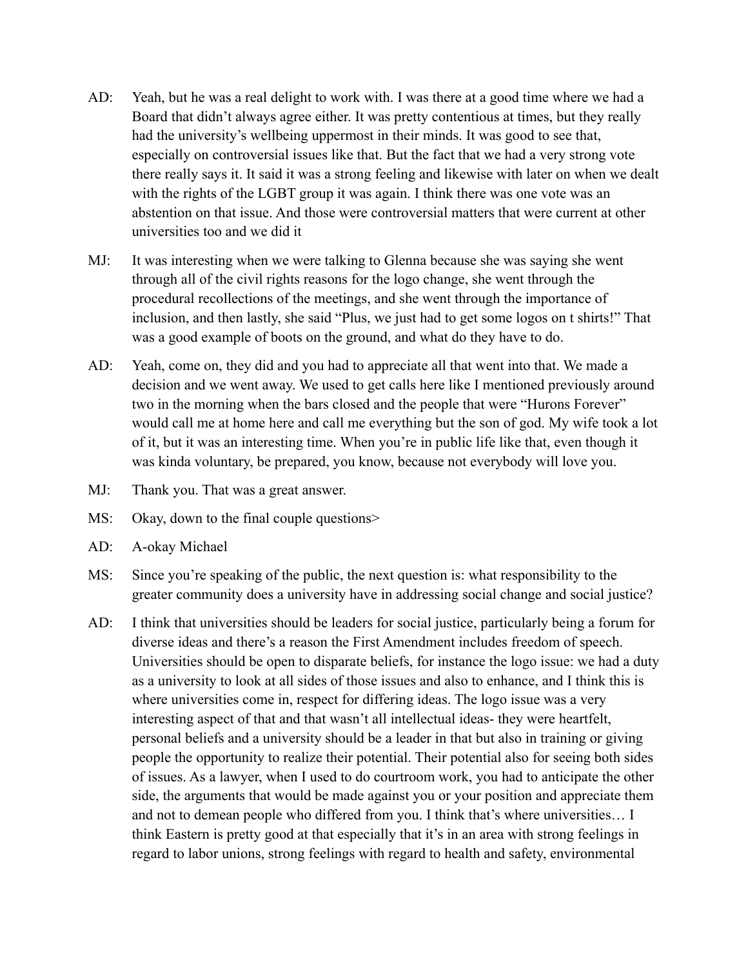- AD: Yeah, but he was a real delight to work with. I was there at a good time where we had a Board that didn't always agree either. It was pretty contentious at times, but they really had the university's wellbeing uppermost in their minds. It was good to see that, especially on controversial issues like that. But the fact that we had a very strong vote there really says it. It said it was a strong feeling and likewise with later on when we dealt with the rights of the LGBT group it was again. I think there was one vote was an abstention on that issue. And those were controversial matters that were current at other universities too and we did it
- MJ: It was interesting when we were talking to Glenna because she was saying she went through all of the civil rights reasons for the logo change, she went through the procedural recollections of the meetings, and she went through the importance of inclusion, and then lastly, she said "Plus, we just had to get some logos on t shirts!" That was a good example of boots on the ground, and what do they have to do.
- AD: Yeah, come on, they did and you had to appreciate all that went into that. We made a decision and we went away. We used to get calls here like I mentioned previously around two in the morning when the bars closed and the people that were "Hurons Forever" would call me at home here and call me everything but the son of god. My wife took a lot of it, but it was an interesting time. When you're in public life like that, even though it was kinda voluntary, be prepared, you know, because not everybody will love you.
- MJ: Thank you. That was a great answer.
- MS: Okay, down to the final couple questions>
- AD: A-okay Michael
- MS: Since you're speaking of the public, the next question is: what responsibility to the greater community does a university have in addressing social change and social justice?
- AD: I think that universities should be leaders for social justice, particularly being a forum for diverse ideas and there's a reason the First Amendment includes freedom of speech. Universities should be open to disparate beliefs, for instance the logo issue: we had a duty as a university to look at all sides of those issues and also to enhance, and I think this is where universities come in, respect for differing ideas. The logo issue was a very interesting aspect of that and that wasn't all intellectual ideas- they were heartfelt, personal beliefs and a university should be a leader in that but also in training or giving people the opportunity to realize their potential. Their potential also for seeing both sides of issues. As a lawyer, when I used to do courtroom work, you had to anticipate the other side, the arguments that would be made against you or your position and appreciate them and not to demean people who differed from you. I think that's where universities… I think Eastern is pretty good at that especially that it's in an area with strong feelings in regard to labor unions, strong feelings with regard to health and safety, environmental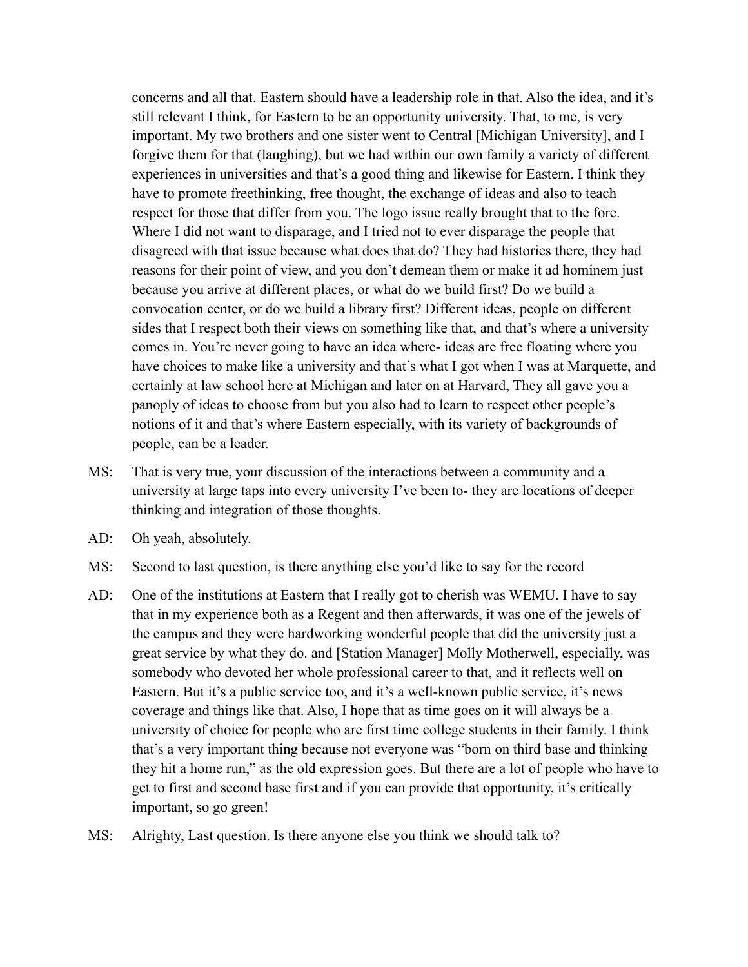concerns and all that. Eastern should have a leadership role in that. Also the idea, and it's still relevant I think, for Eastern to be an opportunity university. That, to me, is very important. My two brothers and one sister went to Central [Michigan University], and I forgive them for that (laughing), but we had within our own family a variety of different experiences in universities and that's a good thing and likewise for Eastern. I think they have to promote freethinking, free thought, the exchange of ideas and also to teach respect for those that differ from you. The logo issue really brought that to the fore. Where I did not want to disparage, and I tried not to ever disparage the people that disagreed with that issue because what does that do? They had histories there, they had reasons for their point of view, and you don't demean them or make it ad hominem just because you arrive at different places, or what do we build first? Do we build a convocation center, or do we build a library first? Different ideas, people on different sides that I respect both their views on something like that, and that's where a university comes in. You're never going to have an idea where- ideas are free floating where you have choices to make like a university and that's what I got when I was at Marquette, and certainly at law school here at Michigan and later on at Harvard, They all gave you a panoply of ideas to choose from but you also had to learn to respect other people's notions of it and that's where Eastern especially, with its variety of backgrounds of people, can be a leader.

- MS: That is very true, your discussion of the interactions between a community and a university at large taps into every university I've been to- they are locations of deeper thinking and integration of those thoughts.
- AD: Oh yeah, absolutely.
- MS: Second to last question, is there anything else you'd like to say for the record
- AD: One of the institutions at Eastern that I really got to cherish was WEMU. I have to say that in my experience both as a Regent and then afterwards, it was one of the jewels of the campus and they were hardworking wonderful people that did the university just a great service by what they do. and [Station Manager] Molly Motherwell, especially, was somebody who devoted her whole professional career to that, and it reflects well on Eastern. But it's a public service too, and it's a well-known public service, it's news coverage and things like that. Also, I hope that as time goes on it will always be a university of choice for people who are first time college students in their family. I think that's a very important thing because not everyone was "born on third base and thinking they hit a home run," as the old expression goes. But there are a lot of people who have to get to first and second base first and if you can provide that opportunity, it's critically important, so go green!
- MS: Alrighty, Last question. Is there anyone else you think we should talk to?